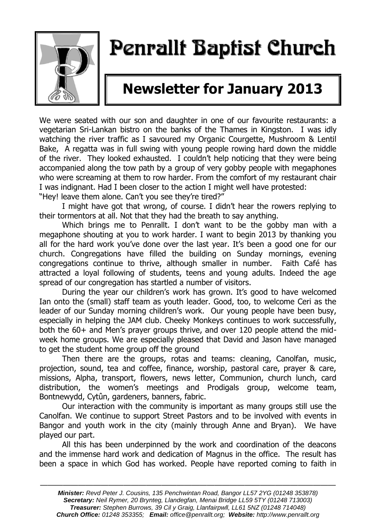

## Penrallt Baptist Church

## **Newsletter for January 2013**

We were seated with our son and daughter in one of our favourite restaurants: a vegetarian Sri-Lankan bistro on the banks of the Thames in Kingston. I was idly watching the river traffic as I savoured my Organic Courgette, Mushroom & Lentil Bake, A regatta was in full swing with young people rowing hard down the middle of the river. They looked exhausted. I couldn't help noticing that they were being accompanied along the tow path by a group of very gobby people with megaphones who were screaming at them to row harder. From the comfort of my restaurant chair I was indignant. Had I been closer to the action I might well have protested:

"Hey! leave them alone. Can't you see they're tired?"

I might have got that wrong, of course. I didn't hear the rowers replying to their tormentors at all. Not that they had the breath to say anything.

Which brings me to Penrallt. I don't want to be the gobby man with a megaphone shouting at you to work harder. I want to begin 2013 by thanking you all for the hard work you've done over the last year. It's been a good one for our church. Congregations have filled the building on Sunday mornings, evening congregations continue to thrive, although smaller in number. Faith Café has attracted a loyal following of students, teens and young adults. Indeed the age spread of our congregation has startled a number of visitors.

During the year our children's work has grown. It's good to have welcomed Ian onto the (small) staff team as youth leader. Good, too, to welcome Ceri as the leader of our Sunday morning children's work. Our young people have been busy, especially in helping the JAM club. Cheeky Monkeys continues to work successfully, both the 60+ and Men's prayer groups thrive, and over 120 people attend the midweek home groups. We are especially pleased that David and Jason have managed to get the student home group off the ground

Then there are the groups, rotas and teams: cleaning, Canolfan, music, projection, sound, tea and coffee, finance, worship, pastoral care, prayer & care, missions, Alpha, transport, flowers, news letter, Communion, church lunch, card distribution, the women's meetings and Prodigals group, welcome team, Bontnewydd, Cytûn, gardeners, banners, fabric.

Our interaction with the community is important as many groups still use the Canolfan. We continue to support Street Pastors and to be involved with events in Bangor and youth work in the city (mainly through Anne and Bryan). We have played our part.

All this has been underpinned by the work and coordination of the deacons and the immense hard work and dedication of Magnus in the office. The result has been a space in which God has worked. People have reported coming to faith in

———————————————————————————————————————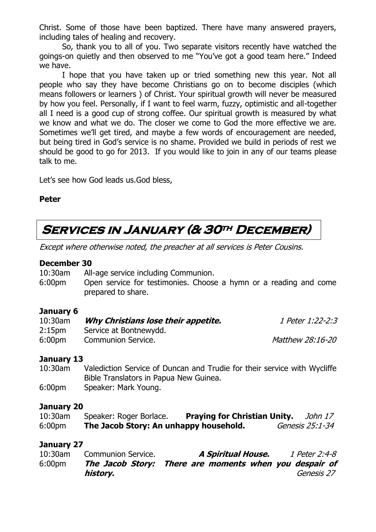Christ. Some of those have been baptized. There have many answered prayers, including tales of healing and recovery.

So, thank you to all of you. Two separate visitors recently have watched the goings-on quietly and then observed to me "You've got a good team here." Indeed we have.

I hope that you have taken up or tried something new this year. Not all people who say they have become Christians go on to become disciples (which means followers or learners ) of Christ. Your spiritual growth will never be measured by how you feel. Personally, if I want to feel warm, fuzzy, optimistic and all-together all I need is a good cup of strong coffee. Our spiritual growth is measured by what we know and what we do. The closer we come to God the more effective we are. Sometimes we'll get tired, and maybe a few words of encouragement are needed, but being tired in God's service is no shame. Provided we build in periods of rest we should be good to go for 2013. If you would like to join in any of our teams please talk to me.

Let's see how God leads us.God bless,

#### **Peter**

## **Services in January (& 30th December)**

Except where otherwise noted, the preacher at all services is Peter Cousins.

#### **December 30**

| 10:30am |  |  |  | All-age service including Communion. |
|---------|--|--|--|--------------------------------------|
|---------|--|--|--|--------------------------------------|

6:00pm Open service for testimonies. Choose a hymn or a reading and come prepared to share.

#### **January 6**

| 10:30am            | Why Christians lose their appetite. | 1 Peter 1:22-2:3        |
|--------------------|-------------------------------------|-------------------------|
| 2:15 <sub>pm</sub> | Service at Bontnewydd.              |                         |
| 6:00 <sub>pm</sub> | <b>Communion Service.</b>           | <i>Matthew 28:16-20</i> |

#### **January 13**

10:30am Valediction Service of Duncan and Trudie for their service with Wycliffe Bible Translators in Papua New Guinea. 6:00pm Speaker: Mark Young.

#### **January 20**

| $10:30$ am         | Speaker: Roger Borlace.                | <b>Praying for Christian Unity.</b> | John 17                |
|--------------------|----------------------------------------|-------------------------------------|------------------------|
| 6:00 <sub>pm</sub> | The Jacob Story: An unhappy household. |                                     | <i>Genesis 25:1-34</i> |

#### **January 27**

| $10:30$ am         | <b>Communion Service.</b> | A Spiritual House.                                     | 1 Peter 2:4-8 |
|--------------------|---------------------------|--------------------------------------------------------|---------------|
| 6:00 <sub>pm</sub> |                           | The Jacob Story: There are moments when you despair of |               |
|                    | history.                  |                                                        | Genesis 27    |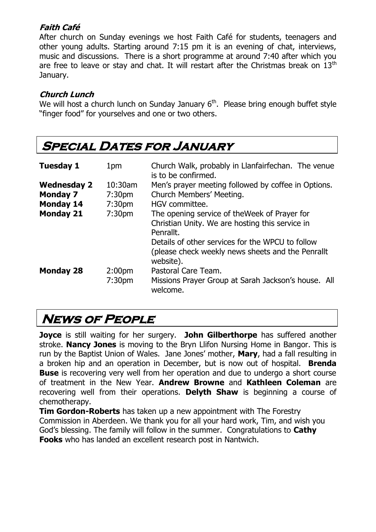#### **Faith Café**

After church on Sunday evenings we host Faith Café for students, teenagers and other young adults. Starting around 7:15 pm it is an evening of chat, interviews, music and discussions. There is a short programme at around 7:40 after which you are free to leave or stay and chat. It will restart after the Christmas break on  $13<sup>th</sup>$ January.

#### **Church Lunch**

We will host a church lunch on Sunday January  $6<sup>th</sup>$ . Please bring enough buffet style "finger food" for yourselves and one or two others.

| <b>SPECIAL DATES FOR JANUARY</b> |                                          |                                                                                                                                                                                                                                     |  |
|----------------------------------|------------------------------------------|-------------------------------------------------------------------------------------------------------------------------------------------------------------------------------------------------------------------------------------|--|
| <b>Tuesday 1</b>                 | 1pm                                      | Church Walk, probably in Llanfairfechan. The venue<br>is to be confirmed.                                                                                                                                                           |  |
| <b>Wednesday 2</b>               | $10:30$ am                               | Men's prayer meeting followed by coffee in Options.                                                                                                                                                                                 |  |
| <b>Monday 7</b>                  | 7:30 <sub>pm</sub>                       | Church Members' Meeting.                                                                                                                                                                                                            |  |
| <b>Monday 14</b>                 | 7:30 <sub>pm</sub>                       | HGV committee.                                                                                                                                                                                                                      |  |
| <b>Monday 21</b>                 | 7:30 <sub>pm</sub>                       | The opening service of the Week of Prayer for<br>Christian Unity. We are hosting this service in<br>Penrallt.<br>Details of other services for the WPCU to follow<br>(please check weekly news sheets and the Penrallt<br>website). |  |
| <b>Monday 28</b>                 | 2:00 <sub>pm</sub><br>7:30 <sub>pm</sub> | Pastoral Care Team.<br>Missions Prayer Group at Sarah Jackson's house. All<br>welcome.                                                                                                                                              |  |

## **News of People**

**Joyce** is still waiting for her surgery. **John Gilberthorpe** has suffered another stroke. **Nancy Jones** is moving to the Bryn Llifon Nursing Home in Bangor. This is run by the Baptist Union of Wales. Jane Jones' mother, **Mary**, had a fall resulting in a broken hip and an operation in December, but is now out of hospital. **Brenda Buse** is recovering very well from her operation and due to undergo a short course of treatment in the New Year. **Andrew Browne** and **Kathleen Coleman** are recovering well from their operations. **Delyth Shaw** is beginning a course of chemotherapy.

**Tim Gordon-Roberts** has taken up a new appointment with The Forestry Commission in Aberdeen. We thank you for all your hard work, Tim, and wish you God's blessing. The family will follow in the summer. Congratulations to **Cathy Fooks** who has landed an excellent research post in Nantwich.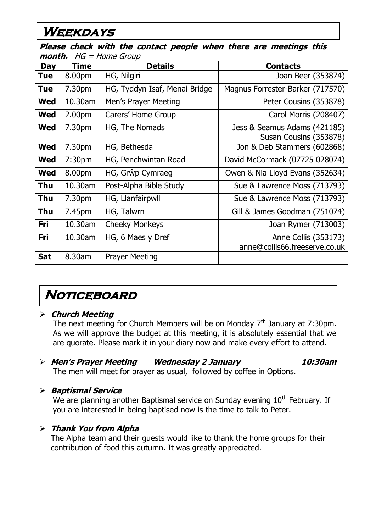## **Weekdays**

**Please check with the contact people when there are meetings this month.** HG = Home Group

| <b>Day</b> | <b>Time</b>        | <b>Details</b>                | <b>Contacts</b>                                        |
|------------|--------------------|-------------------------------|--------------------------------------------------------|
| <b>Tue</b> | 8.00pm             | HG, Nilgiri                   | Joan Beer (353874)                                     |
| <b>Tue</b> | 7.30pm             | HG, Tyddyn Isaf, Menai Bridge | Magnus Forrester-Barker (717570)                       |
| <b>Wed</b> | 10.30am            | Men's Prayer Meeting          | Peter Cousins (353878)                                 |
| <b>Wed</b> | 2.00 <sub>pm</sub> | Carers' Home Group            | Carol Morris (208407)                                  |
| <b>Wed</b> | 7.30pm             | HG, The Nomads                | Jess & Seamus Adams (421185)<br>Susan Cousins (353878) |
| <b>Wed</b> | 7.30pm             | HG, Bethesda                  | Jon & Deb Stammers (602868)                            |
| <b>Wed</b> | 7:30 <sub>pm</sub> | HG, Penchwintan Road          | David McCormack (07725 028074)                         |
| <b>Wed</b> | 8.00pm             | HG, Grŵp Cymraeg              | Owen & Nia Lloyd Evans (352634)                        |
| <b>Thu</b> | 10.30am            | Post-Alpha Bible Study        | Sue & Lawrence Moss (713793)                           |
| <b>Thu</b> | 7.30 <sub>pm</sub> | HG, Llanfairpwll              | Sue & Lawrence Moss (713793)                           |
| <b>Thu</b> | 7.45pm             | HG, Talwrn                    | Gill & James Goodman (751074)                          |
| <b>Fri</b> | $10.30$ am         | <b>Cheeky Monkeys</b>         | Joan Rymer (713003)                                    |
| <b>Fri</b> | $10.30$ am         | HG, 6 Maes y Dref             | Anne Collis (353173)<br>anne@collis66.freeserve.co.uk  |
| <b>Sat</b> | 8.30am             | <b>Prayer Meeting</b>         |                                                        |

## **Noticeboard**

#### **Church Meeting**

The next meeting for Church Members will be on Monday  $7<sup>th</sup>$  January at 7:30pm. As we will approve the budget at this meeting, it is absolutely essential that we are quorate. Please mark it in your diary now and make every effort to attend.

#### **Men's Prayer Meeting Wednesday 2 January 10:30am** The men will meet for prayer as usual, followed by coffee in Options.

#### **Baptismal Service**

We are planning another Baptismal service on Sunday evening  $10<sup>th</sup>$  February. If you are interested in being baptised now is the time to talk to Peter.

#### **Thank You from Alpha**

The Alpha team and their guests would like to thank the home groups for their contribution of food this autumn. It was greatly appreciated.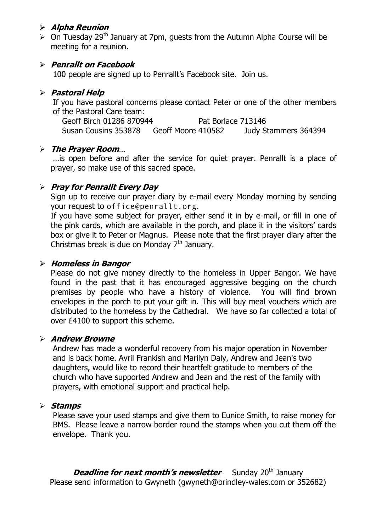#### **Alpha Reunion**

 $\geq$  On Tuesday 29<sup>th</sup> January at 7pm, quests from the Autumn Alpha Course will be meeting for a reunion.

#### **Penrallt on Facebook**

100 people are signed up to Penrallt's Facebook site. Join us.

#### **Pastoral Help**

If you have pastoral concerns please contact Peter or one of the other members of the Pastoral Care team:

Geoff Birch 01286 870944 Pat Borlace 713146 Susan Cousins 353878 Geoff Moore 410582 Judy Stammers 364394

#### **The Prayer Room**…

…is open before and after the service for quiet prayer. Penrallt is a place of prayer, so make use of this sacred space.

#### **Pray for Penrallt Every Day**

Sign up to receive our prayer diary by e-mail every Monday morning by sending your request to [office@penrallt.org](mailto:office@penrallt.org).

If you have some subject for prayer, either send it in by e-mail, or fill in one of the pink cards, which are available in the porch, and place it in the visitors' cards box or give it to Peter or Magnus. Please note that the first prayer diary after the Christmas break is due on Monday  $7<sup>th</sup>$  January.

#### **Homeless in Bangor**

Please do not give money directly to the homeless in Upper Bangor. We have found in the past that it has encouraged aggressive begging on the church premises by people who have a history of violence. You will find brown envelopes in the porch to put your gift in. This will buy meal vouchers which are distributed to the homeless by the Cathedral. We have so far collected a total of over £4100 to support this scheme.

#### **Andrew Browne**

Andrew has made a wonderful recovery from his major operation in November and is back home. Avril Frankish and Marilyn Daly, Andrew and Jean's two daughters, would like to record their heartfelt gratitude to members of the church who have supported Andrew and Jean and the rest of the family with prayers, with emotional support and practical help.

#### **Stamps**

Please save your used stamps and give them to Eunice Smith, to raise money for BMS. Please leave a narrow border round the stamps when you cut them off the envelope. Thank you.

**Deadline for next month's newsletter** Sunday 20<sup>th</sup> January Please send information to Gwyneth [\(gwyneth@brindley-wales.com](mailto:gwyneth@brindley-wales.com) or 352682)